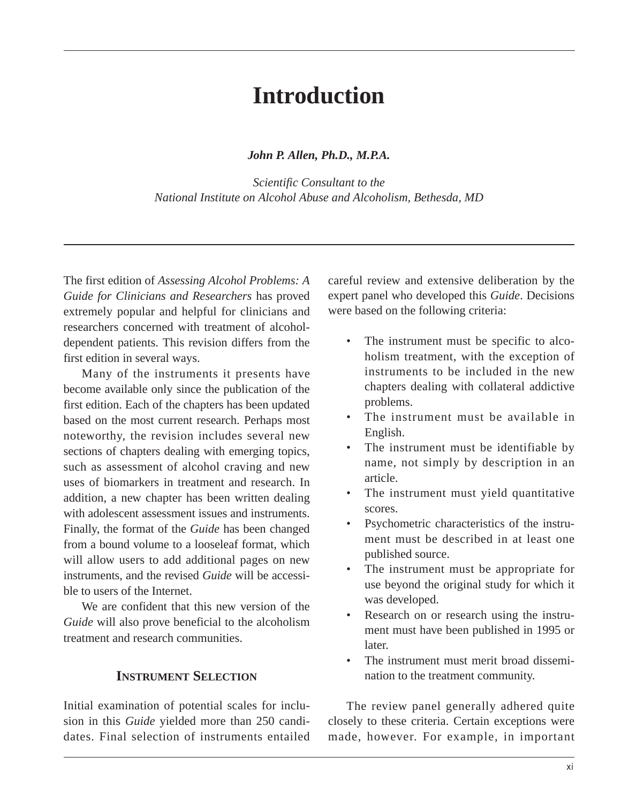# **Introduction**

*John P. Allen, Ph.D., M.P.A.* 

*Scientific Consultant to the National Institute on Alcohol Abuse and Alcoholism, Bethesda, MD* 

The first edition of *Assessing Alcohol Problems: A Guide for Clinicians and Researchers* has proved extremely popular and helpful for clinicians and researchers concerned with treatment of alcoholdependent patients. This revision differs from the first edition in several ways.

Many of the instruments it presents have become available only since the publication of the first edition. Each of the chapters has been updated based on the most current research. Perhaps most noteworthy, the revision includes several new sections of chapters dealing with emerging topics, such as assessment of alcohol craving and new uses of biomarkers in treatment and research. In addition, a new chapter has been written dealing with adolescent assessment issues and instruments. Finally, the format of the *Guide* has been changed from a bound volume to a looseleaf format, which will allow users to add additional pages on new instruments, and the revised *Guide* will be accessible to users of the Internet.

We are confident that this new version of the *Guide* will also prove beneficial to the alcoholism treatment and research communities.

#### **INSTRUMENT SELECTION**

Initial examination of potential scales for inclusion in this *Guide* yielded more than 250 candidates. Final selection of instruments entailed careful review and extensive deliberation by the expert panel who developed this *Guide*. Decisions were based on the following criteria:

- The instrument must be specific to alcoholism treatment, with the exception of instruments to be included in the new chapters dealing with collateral addictive problems.
- The instrument must be available in English.
- The instrument must be identifiable by name, not simply by description in an article.
- The instrument must yield quantitative scores.
- Psychometric characteristics of the instrument must be described in at least one published source.
- The instrument must be appropriate for use beyond the original study for which it was developed.
- Research on or research using the instrument must have been published in 1995 or later.
- The instrument must merit broad dissemination to the treatment community.

The review panel generally adhered quite closely to these criteria. Certain exceptions were made, however. For example, in important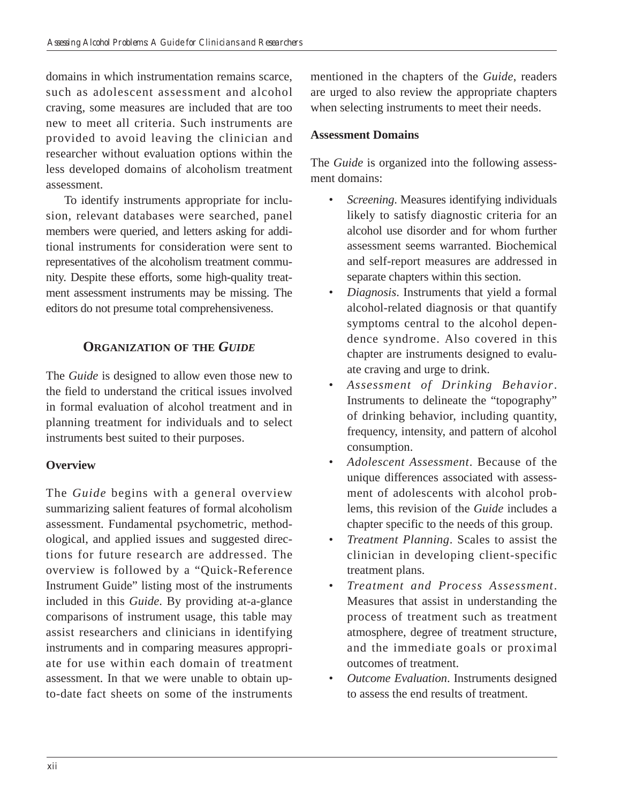domains in which instrumentation remains scarce, such as adolescent assessment and alcohol craving, some measures are included that are too new to meet all criteria. Such instruments are provided to avoid leaving the clinician and researcher without evaluation options within the less developed domains of alcoholism treatment assessment.

To identify instruments appropriate for inclusion, relevant databases were searched, panel members were queried, and letters asking for additional instruments for consideration were sent to representatives of the alcoholism treatment community. Despite these efforts, some high-quality treatment assessment instruments may be missing. The editors do not presume total comprehensiveness.

## **ORGANIZATION OF THE** *GUIDE*

The *Guide* is designed to allow even those new to the field to understand the critical issues involved in formal evaluation of alcohol treatment and in planning treatment for individuals and to select instruments best suited to their purposes.

## **Overview**

The *Guide* begins with a general overview summarizing salient features of formal alcoholism assessment. Fundamental psychometric, methodological, and applied issues and suggested directions for future research are addressed. The overview is followed by a "Quick-Reference Instrument Guide" listing most of the instruments included in this *Guide*. By providing at-a-glance comparisons of instrument usage, this table may assist researchers and clinicians in identifying instruments and in comparing measures appropriate for use within each domain of treatment assessment. In that we were unable to obtain upto-date fact sheets on some of the instruments

mentioned in the chapters of the *Guide*, readers are urged to also review the appropriate chapters when selecting instruments to meet their needs.

### **Assessment Domains**

The *Guide* is organized into the following assessment domains:

- • *Screening*. Measures identifying individuals likely to satisfy diagnostic criteria for an alcohol use disorder and for whom further assessment seems warranted. Biochemical and self-report measures are addressed in separate chapters within this section.
- • *Diagnosis*. Instruments that yield a formal alcohol-related diagnosis or that quantify symptoms central to the alcohol dependence syndrome. Also covered in this chapter are instruments designed to evaluate craving and urge to drink.
- Assessment of Drinking Behavior. Instruments to delineate the "topography" of drinking behavior, including quantity, frequency, intensity, and pattern of alcohol consumption.
- • *Adolescent Assessment*. Because of the unique differences associated with assessment of adolescents with alcohol problems, this revision of the *Guide* includes a chapter specific to the needs of this group.
- • *Treatment Planning*. Scales to assist the clinician in developing client-specific treatment plans.
- • *Treatment and Process Assessment*. Measures that assist in understanding the process of treatment such as treatment atmosphere, degree of treatment structure, and the immediate goals or proximal outcomes of treatment.
- • *Outcome Evaluation*. Instruments designed to assess the end results of treatment.